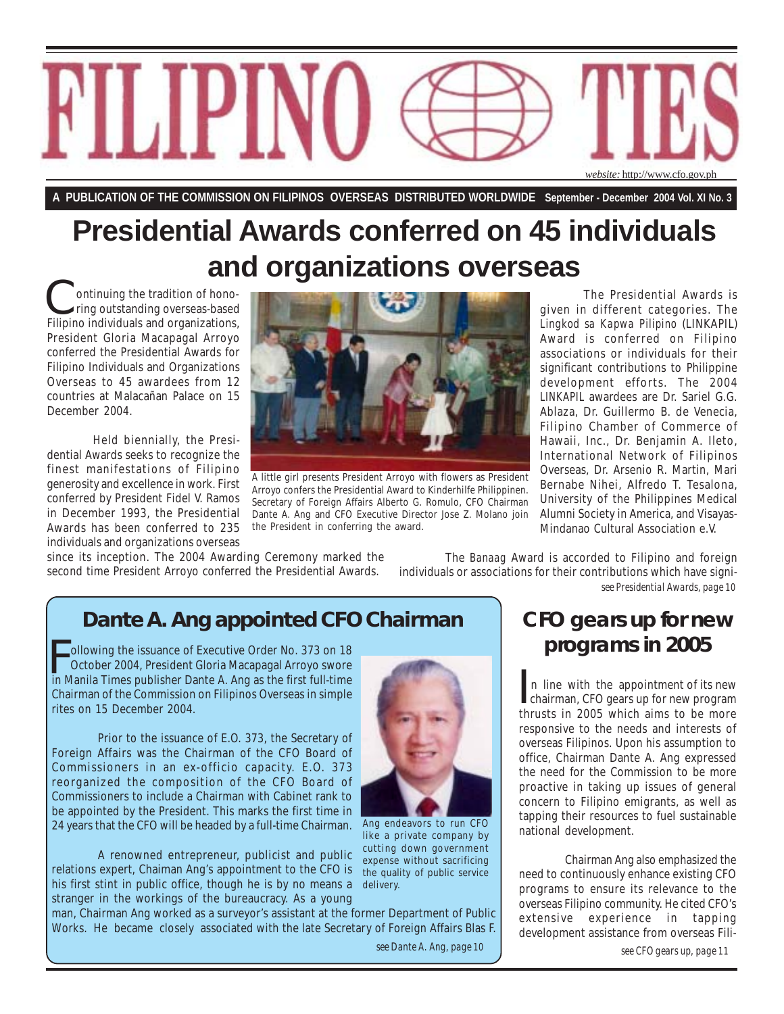

**A PUBLICATION OF THE COMMISSION ON FILIPINOS OVERSEAS DISTRIBUTED WORLDWIDE September - December 2004 Vol. XI No. 3**

# **Presidential Awards conferred on 45 individuals and organizations overseas**

 ontinuing the tradition of hono ring outstanding overseas-based Filipino individuals and organizations, President Gloria Macapagal Arroyo conferred the Presidential Awards for Filipino Individuals and Organizations Overseas to 45 awardees from 12 countries at Malacañan Palace on 15 December 2004.

Held biennially, the Presidential Awards seeks to recognize the finest manifestations of Filipino generosity and excellence in work. First conferred by President Fidel V. Ramos in December 1993, the Presidential Awards has been conferred to 235 individuals and organizations overseas



A little girl presents President Arroyo with flowers as President Arroyo confers the Presidential Award to Kinderhilfe Philippinen. Secretary of Foreign Affairs Alberto G. Romulo, CFO Chairman Dante A. Ang and CFO Executive Director Jose Z. Molano join the President in conferring the award.

given in different categories. The *Lingkod sa Kapwa Pilipino* (LINKAPIL) Award is conferred on Filipino associations or individuals for their significant contributions to Philippine development efforts. The 2004 *LINKAPIL* awardees are Dr. Sariel G.G. Ablaza, Dr. Guillermo B. de Venecia, Filipino Chamber of Commerce of Hawaii, Inc., Dr. Benjamin A. Ileto, International Network of Filipinos Overseas, Dr. Arsenio R. Martin, Mari Bernabe Nihei, Alfredo T. Tesalona, University of the Philippines Medical Alumni Society in America, and Visayas-Mindanao Cultural Association e.V.

since its inception. The 2004 Awarding Ceremony marked the second time President Arroyo conferred the Presidential Awards.

*see Presidential Awards, page 10* The *Banaag* Award is accorded to Filipino and foreign individuals or associations for their contributions which have signi-

# **Dante A. Ang appointed CFO Chairman**

I ollowing the issuance of Executive Order No. 373 on 18<br>October 2004, President Gloria Macapagal Arroyo swore<br>in Manila Times publisher Dante A. Ang as the first full-time ollowing the issuance of Executive Order No. 373 on 18 October 2004, President Gloria Macapagal Arroyo swore Chairman of the Commission on Filipinos Overseas in simple rites on 15 December 2004.

Prior to the issuance of E.O. 373, the Secretary of Foreign Affairs was the Chairman of the CFO Board of Commissioners in an ex-officio capacity. E.O. 373 reorganized the composition of the CFO Board of Commissioners to include a Chairman with Cabinet rank to be appointed by the President. This marks the first time in 24 years that the CFO will be headed by a full-time Chairman.

A renowned entrepreneur, publicist and public relations expert, Chaiman Ang's appointment to the CFO is his first stint in public office, though he is by no means a stranger in the workings of the bureaucracy. As a young



Ang endeavors to run CFO like a private company by cutting down government expense without sacrificing the quality of public service delivery.

man, Chairman Ang worked as a surveyor's assistant at the former Department of Public Works. He became closely associated with the late Secretary of Foreign Affairs Blas F.

*see Dante A. Ang, page 10*

## **CFO gears up for new programs in 2005**

 n line with the appointment of its new In line with the appointment of its new<br>chairman, CFO gears up for new program thrusts in 2005 which aims to be more responsive to the needs and interests of overseas Filipinos. Upon his assumption to office, Chairman Dante A. Ang expressed the need for the Commission to be more proactive in taking up issues of general concern to Filipino emigrants, as well as tapping their resources to fuel sustainable national development.

Chairman Ang also emphasized the need to continuously enhance existing CFO programs to ensure its relevance to the overseas Filipino community. He cited CFO's extensive experience in tapping development assistance from overseas Fili-

*see CFO gears up, page 11*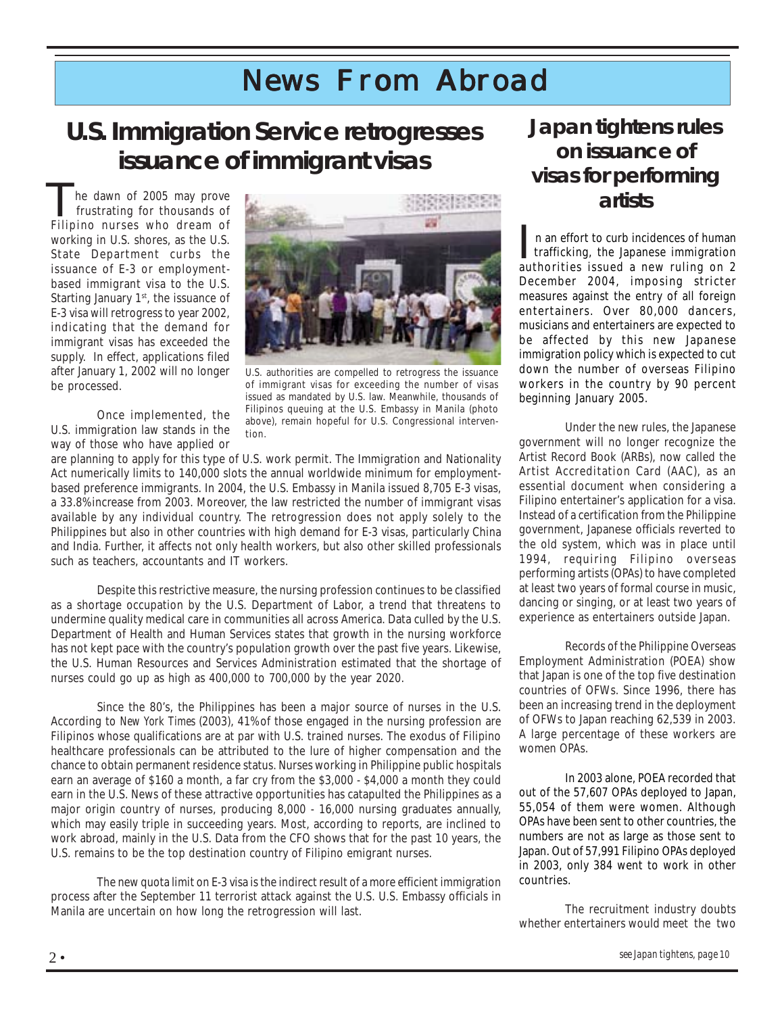# *News From Abroad*

# **U.S. Immigration Service retrogresses issuance of immigrant visas**

 he dawn of 2005 may prove frustrating for thousands of The dawn of 2005 may prove<br>frustrating for thousands of<br>Filipino nurses who dream of working in U.S. shores, as the U.S. State Department curbs the issuance of E-3 or employmentbased immigrant visa to the U.S. Starting January 1<sup>st</sup>, the issuance of E-3 visa will retrogress to year 2002, indicating that the demand for immigrant visas has exceeded the supply. In effect, applications filed after January 1, 2002 will no longer be processed.





U.S. authorities are compelled to retrogress the issuance of immigrant visas for exceeding the number of visas issued as mandated by U.S. law. Meanwhile, thousands of Filipinos queuing at the U.S. Embassy in Manila (photo above), remain hopeful for U.S. Congressional intervention.

are planning to apply for this type of U.S. work permit. The Immigration and Nationality Act numerically limits to 140,000 slots the annual worldwide minimum for employmentbased preference immigrants. In 2004, the U.S. Embassy in Manila issued 8,705 E-3 visas, a 33.8% increase from 2003. Moreover, the law restricted the number of immigrant visas available by any individual country. The retrogression does not apply solely to the Philippines but also in other countries with high demand for E-3 visas, particularly China and India. Further, it affects not only health workers, but also other skilled professionals such as teachers, accountants and IT workers.

Despite this restrictive measure, the nursing profession continues to be classified as a shortage occupation by the U.S. Department of Labor, a trend that threatens to undermine quality medical care in communities all across America. Data culled by the U.S. Department of Health and Human Services states that growth in the nursing workforce has not kept pace with the country's population growth over the past five years. Likewise, the U.S. Human Resources and Services Administration estimated that the shortage of nurses could go up as high as 400,000 to 700,000 by the year 2020.

Since the 80's, the Philippines has been a major source of nurses in the U.S. According to *New York Times* (2003), 41% of those engaged in the nursing profession are Filipinos whose qualifications are at par with U.S. trained nurses. The exodus of Filipino healthcare professionals can be attributed to the lure of higher compensation and the chance to obtain permanent residence status. Nurses working in Philippine public hospitals earn an average of \$160 a month, a far cry from the \$3,000 - \$4,000 a month they could earn in the U.S. News of these attractive opportunities has catapulted the Philippines as a major origin country of nurses, producing 8,000 - 16,000 nursing graduates annually, which may easily triple in succeeding years. Most, according to reports, are inclined to work abroad, mainly in the U.S. Data from the CFO shows that for the past 10 years, the U.S. remains to be the top destination country of Filipino emigrant nurses.

The new quota limit on E-3 visa is the indirect result of a more efficient immigration process after the September 11 terrorist attack against the U.S. U.S. Embassy officials in Manila are uncertain on how long the retrogression will last.

## **Japan tightens rules on issuance of visas for performing artists**

 n an effort to curb incidences of human trafficking, the Japanese immigration In an effort to curb incidences of human<br>trafficking, the Japanese immigration<br>authorities issued a new ruling on 2 December 2004, imposing stricter measures against the entry of all foreign entertainers. Over 80,000 dancers, musicians and entertainers are expected to be affected by this new Japanese immigration policy which is expected to cut down the number of overseas Filipino workers in the country by 90 percent beginning January 2005.

Under the new rules, the Japanese government will no longer recognize the Artist Record Book (ARBs), now called the Artist Accreditation Card (AAC), as an essential document when considering a Filipino entertainer's application for a visa. Instead of a certification from the Philippine government, Japanese officials reverted to the old system, which was in place until 1994, requiring Filipino overseas performing artists (OPAs) to have completed at least two years of formal course in music, dancing or singing, or at least two years of experience as entertainers outside Japan.

F that Japan is one of the top five destination Records of the Philippine Overseas Employment Administration (POEA) show countries of OFWs. Since 1996, there has been an increasing trend in the deployment of OFWs to Japan reaching 62,539 in 2003. A large percentage of these workers are women OPAs.

In 2003 alone, POEA recorded that out of the 57,607 OPAs deployed to Japan, 55,054 of them were women. Although OPAs have been sent to other countries, the numbers are not as large as those sent to Japan. Out of 57,991 Filipino OPAs deployed in 2003, only 384 went to work in other countries.

The recruitment industry doubts whether entertainers would meet the two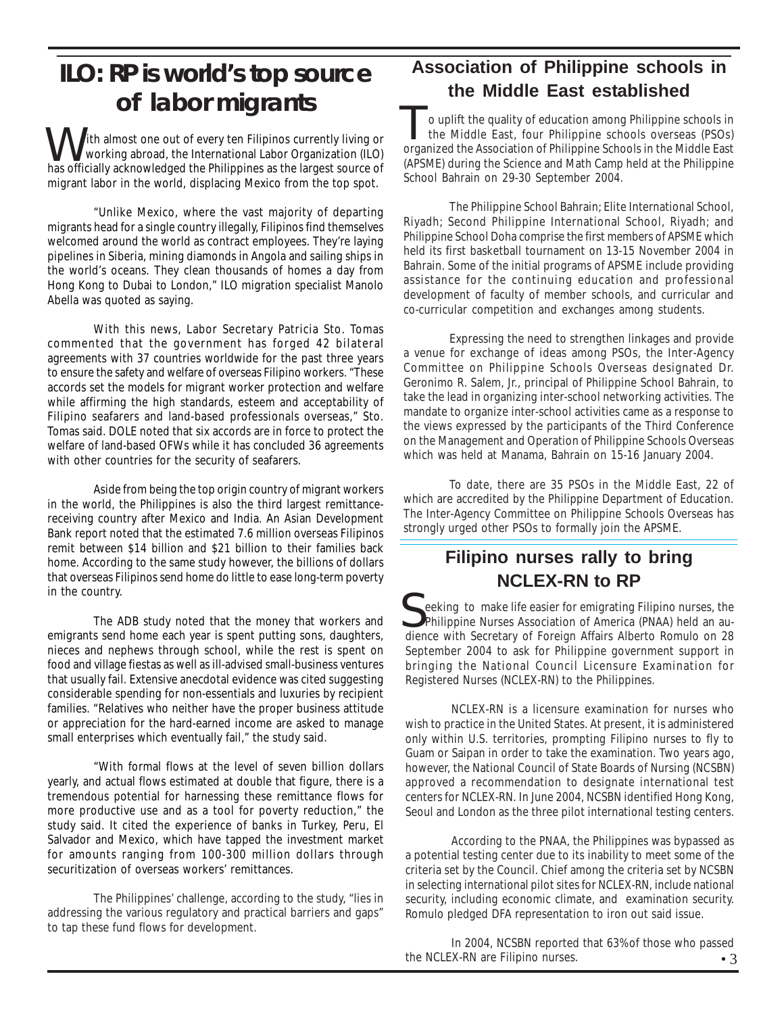# **ILO: RP is world's top source of labor migrants of labor migrants or the Miladie East established**

I ith almost one out of every ten Filipinos currently living or working abroad, the International Labor Organization (ILO) has officially acknowledged the Philippines as the largest source of migrant labor in the world, displacing Mexico from the top spot.

"Unlike Mexico, where the vast majority of departing migrants head for a single country illegally, Filipinos find themselves welcomed around the world as contract employees. They're laying pipelines in Siberia, mining diamonds in Angola and sailing ships in the world's oceans. They clean thousands of homes a day from Hong Kong to Dubai to London," ILO migration specialist Manolo Abella was quoted as saying.

With this news, Labor Secretary Patricia Sto. Tomas commented that the government has forged 42 bilateral agreements with 37 countries worldwide for the past three years to ensure the safety and welfare of overseas Filipino workers. "These accords set the models for migrant worker protection and welfare while affirming the high standards, esteem and acceptability of Filipino seafarers and land-based professionals overseas," Sto. Tomas said. DOLE noted that six accords are in force to protect the welfare of land-based OFWs while it has concluded 36 agreements with other countries for the security of seafarers.

Aside from being the top origin country of migrant workers in the world, the Philippines is also the third largest remittancereceiving country after Mexico and India. An Asian Development Bank report noted that the estimated 7.6 million overseas Filipinos remit between \$14 billion and \$21 billion to their families back home. According to the same study however, the billions of dollars that overseas Filipinos send home do little to ease long-term poverty in the country.

The ADB study noted that the money that workers and emigrants send home each year is spent putting sons, daughters, nieces and nephews through school, while the rest is spent on food and village fiestas as well as ill-advised small-business ventures that usually fail. Extensive anecdotal evidence was cited suggesting considerable spending for non-essentials and luxuries by recipient families. "Relatives who neither have the proper business attitude or appreciation for the hard-earned income are asked to manage small enterprises which eventually fail," the study said.

"With formal flows at the level of seven billion dollars yearly, and actual flows estimated at double that figure, there is a tremendous potential for harnessing these remittance flows for more productive use and as a tool for poverty reduction," the study said. It cited the experience of banks in Turkey, Peru, El Salvador and Mexico, which have tapped the investment market for amounts ranging from 100-300 million dollars through securitization of overseas workers' remittances.

The Philippines' challenge, according to the study, "lies in addressing the various regulatory and practical barriers and gaps" to tap these fund flows for development.

## **Association of Philippine schools in the Middle East established**

 the Middle East, four Philippine schools overseas (PSOs) o uplift the quality of education among Philippine schools in the Middle East, four Philippine schools overseas (PSOs) organized the Association of Philippine Schools in the Middle East (APSME) during the Science and Math Camp held at the Philippine School Bahrain on 29-30 September 2004.

The Philippine School Bahrain; Elite International School, Riyadh; Second Philippine International School, Riyadh; and Philippine School Doha comprise the first members of APSME which held its first basketball tournament on 13-15 November 2004 in Bahrain. Some of the initial programs of APSME include providing assistance for the continuing education and professional development of faculty of member schools, and curricular and co-curricular competition and exchanges among students.

Expressing the need to strengthen linkages and provide a venue for exchange of ideas among PSOs, the Inter-Agency Committee on Philippine Schools Overseas designated Dr. Geronimo R. Salem, Jr., principal of Philippine School Bahrain, to take the lead in organizing inter-school networking activities. The mandate to organize inter-school activities came as a response to the views expressed by the participants of the Third Conference on the Management and Operation of Philippine Schools Overseas which was held at Manama, Bahrain on 15-16 January 2004.

To date, there are 35 PSOs in the Middle East, 22 of which are accredited by the Philippine Department of Education. The Inter-Agency Committee on Philippine Schools Overseas has strongly urged other PSOs to formally join the APSME.

## **Filipino nurses rally to bring NCLEX-RN to RP**

 eeking to make life easier for emigrating Filipino nurses, the Seeking to make life easier for emigrating Filipino nurses, the Philippine Nurses Association of America (PNAA) held an audience with Secretary of Foreign Affairs Alberto Romulo on 28 September 2004 to ask for Philippine government support in bringing the National Council Licensure Examination for Registered Nurses (NCLEX-RN) to the Philippines.

NCLEX-RN is a licensure examination for nurses who wish to practice in the United States. At present, it is administered only within U.S. territories, prompting Filipino nurses to fly to Guam or Saipan in order to take the examination. Two years ago, however, the National Council of State Boards of Nursing (NCSBN) approved a recommendation to designate international test centers for NCLEX-RN. In June 2004, NCSBN identified Hong Kong, Seoul and London as the three pilot international testing centers.

According to the PNAA, the Philippines was bypassed as a potential testing center due to its inability to meet some of the criteria set by the Council. Chief among the criteria set by NCSBN in selecting international pilot sites for NCLEX-RN, include national security, including economic climate, and examination security. Romulo pledged DFA representation to iron out said issue.

• 3 In 2004, NCSBN reported that 63% of those who passed the NCLEX-RN are Filipino nurses.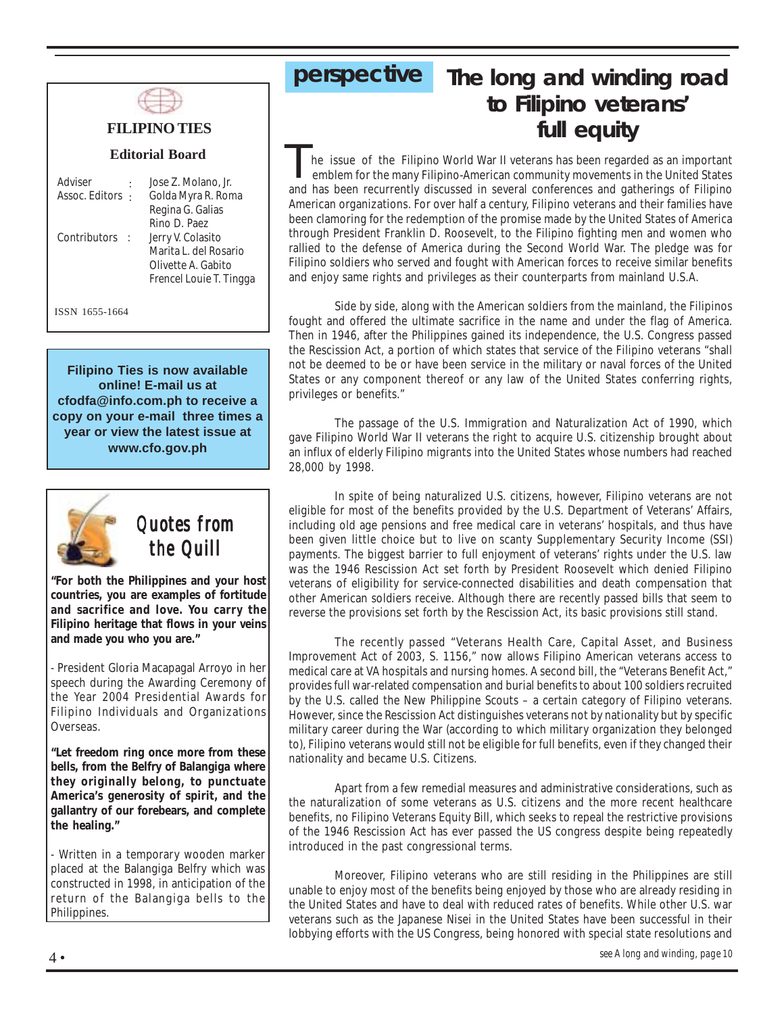

## **FILIPINO TIES**

#### **Editorial Board**

| Adviser          | Jose Z. Molano, Jr.     |
|------------------|-------------------------|
| Assoc. Editors : | Golda Myra R. Roma      |
|                  | Regina G. Galias        |
|                  | Rino D. Paez            |
| Contributors :   | Jerry V. Colasito       |
|                  | Marita L. del Rosario   |
|                  | Olivette A. Gabito      |
|                  | Frencel Louie T. Tingga |
|                  |                         |
|                  |                         |

ISSN 1655-1664

**Filipino Ties is now available online! E-mail us at cfodfa@info.com.ph to receive a copy on your e-mail three times a year or view the latest issue at www.cfo.gov.ph**



## *Quotes from the Quill*

**"For both the Philippines and your host countries, you are examples of fortitude and sacrifice and love. You carry the Filipino heritage that flows in your veins and made you who you are."**

- President Gloria Macapagal Arroyo in her speech during the Awarding Ceremony of the Year 2004 Presidential Awards for Filipino Individuals and Organizations Overseas.

**"Let freedom ring once more from these bells, from the Belfry of Balangiga where they originally belong, to punctuate America's generosity of spirit, and the gallantry of our forebears, and complete the healing."**

- Written in a temporary wooden marker placed at the Balangiga Belfry which was constructed in 1998, in anticipation of the return of the Balangiga bells to the Philippines.

# **perspective The long and winding road to Filipino veterans' full equity**

 he issue of the Filipino World War II veterans has been regarded as an important emblem for the many Filipino-American community movements in the United States and has been recurrently discussed in several conferences and gatherings of Filipino American organizations. For over half a century, Filipino veterans and their families have been clamoring for the redemption of the promise made by the United States of America through President Franklin D. Roosevelt, to the Filipino fighting men and women who rallied to the defense of America during the Second World War. The pledge was for Filipino soldiers who served and fought with American forces to receive similar benefits and enjoy same rights and privileges as their counterparts from mainland U.S.A. T

Side by side, along with the American soldiers from the mainland, the Filipinos fought and offered the ultimate sacrifice in the name and under the flag of America. Then in 1946, after the Philippines gained its independence, the U.S. Congress passed the Rescission Act, a portion of which states that service of the Filipino veterans "shall not be deemed to be or have been service in the military or naval forces of the United States or any component thereof or any law of the United States conferring rights, privileges or benefits."

The passage of the U.S. Immigration and Naturalization Act of 1990, which gave Filipino World War II veterans the right to acquire U.S. citizenship brought about an influx of elderly Filipino migrants into the United States whose numbers had reached 28,000 by 1998.

In spite of being naturalized U.S. citizens, however, Filipino veterans are not eligible for most of the benefits provided by the U.S. Department of Veterans' Affairs, including old age pensions and free medical care in veterans' hospitals, and thus have been given little choice but to live on scanty Supplementary Security Income (SSI) payments. The biggest barrier to full enjoyment of veterans' rights under the U.S. law was the 1946 Rescission Act set forth by President Roosevelt which denied Filipino veterans of eligibility for service-connected disabilities and death compensation that other American soldiers receive. Although there are recently passed bills that seem to reverse the provisions set forth by the Rescission Act, its basic provisions still stand.

The recently passed "Veterans Health Care, Capital Asset, and Business Improvement Act of 2003, S. 1156," now allows Filipino American veterans access to medical care at VA hospitals and nursing homes. A second bill, the "Veterans Benefit Act," provides full war-related compensation and burial benefits to about 100 soldiers recruited by the U.S. called the New Philippine Scouts – a certain category of Filipino veterans. However, since the Rescission Act distinguishes veterans not by nationality but by specific military career during the War (according to which military organization they belonged to), Filipino veterans would still not be eligible for full benefits, even if they changed their nationality and became U.S. Citizens.

Apart from a few remedial measures and administrative considerations, such as the naturalization of some veterans as U.S. citizens and the more recent healthcare benefits, no Filipino Veterans Equity Bill, which seeks to repeal the restrictive provisions of the 1946 Rescission Act has ever passed the US congress despite being repeatedly introduced in the past congressional terms.

Moreover, Filipino veterans who are still residing in the Philippines are still unable to enjoy most of the benefits being enjoyed by those who are already residing in the United States and have to deal with reduced rates of benefits. While other U.S. war veterans such as the Japanese Nisei in the United States have been successful in their lobbying efforts with the US Congress, being honored with special state resolutions and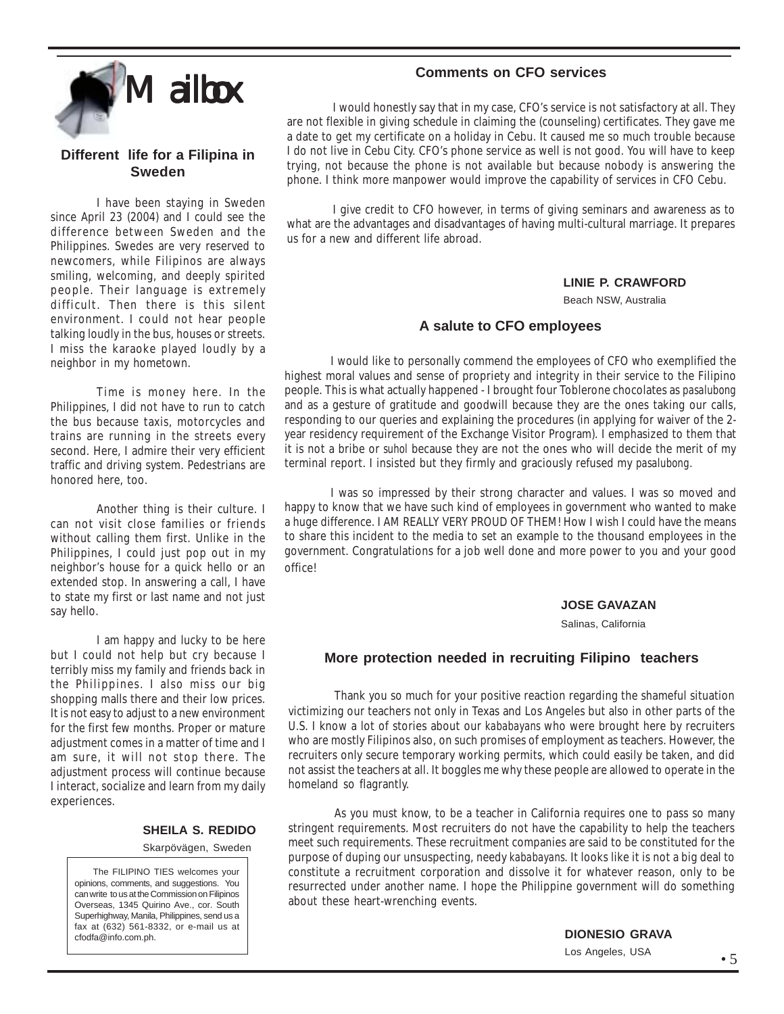

#### **Different life for a Filipina in Sweden**

I have been staying in Sweden since April 23 (2004) and I could see the difference between Sweden and the Philippines. Swedes are very reserved to newcomers, while Filipinos are always smiling, welcoming, and deeply spirited people. Their language is extremely difficult. Then there is this silent environment. I could not hear people talking loudly in the bus, houses or streets. I miss the karaoke played loudly by a neighbor in my hometown.

Time is money here. In the Philippines, I did not have to run to catch the bus because taxis, motorcycles and trains are running in the streets every second. Here, I admire their very efficient traffic and driving system. Pedestrians are honored here, too.

Another thing is their culture. I can not visit close families or friends without calling them first. Unlike in the Philippines, I could just pop out in my neighbor's house for a quick hello or an extended stop. In answering a call, I have to state my first or last name and not just say hello.

I am happy and lucky to be here but I could not help but cry because I terribly miss my family and friends back in the Philippines. I also miss our big shopping malls there and their low prices. It is not easy to adjust to a new environment for the first few months. Proper or mature adjustment comes in a matter of time and I am sure, it will not stop there. The adjustment process will continue because I interact, socialize and learn from my daily experiences.

#### **SHEILA S. REDIDO**

Skarpövägen, Sweden

 The FILIPINO TIES welcomes your opinions, comments, and suggestions. You can write to us at the Commission on Filipinos Overseas, 1345 Quirino Ave., cor. South Superhighway, Manila, Philippines, send us a fax at (632) 561-8332, or e-mail us at cfodfa@info.com.ph.

#### **Comments on CFO services**

I would honestly say that in my case, CFO's service is not satisfactory at all. They are not flexible in giving schedule in claiming the (counseling) certificates. They gave me a date to get my certificate on a holiday in Cebu. It caused me so much trouble because I do not live in Cebu City. CFO's phone service as well is not good. You will have to keep trying, not because the phone is not available but because nobody is answering the phone. I think more manpower would improve the capability of services in CFO Cebu.

I give credit to CFO however, in terms of giving seminars and awareness as to what are the advantages and disadvantages of having multi-cultural marriage. It prepares us for a new and different life abroad.

#### **LINIE P. CRAWFORD**

Beach NSW, Australia

#### **A salute to CFO employees**

I would like to personally commend the employees of CFO who exemplified the highest moral values and sense of propriety and integrity in their service to the Filipino people. This is what actually happened - I brought four Toblerone chocolates as *pasalubong* and as a gesture of gratitude and goodwill because they are the ones taking our calls, responding to our queries and explaining the procedures (in applying for waiver of the 2 year residency requirement of the Exchange Visitor Program). I emphasized to them that it is not a bribe or *suhol* because they are not the ones who will decide the merit of my terminal report. I insisted but they firmly and graciously refused my *pasalubong.*

I was so impressed by their strong character and values. I was so moved and happy to know that we have such kind of employees in government who wanted to make a huge difference. I AM REALLY VERY PROUD OF THEM! How I wish I could have the means to share this incident to the media to set an example to the thousand employees in the government. Congratulations for a job well done and more power to you and your good office!

#### **JOSE GAVAZAN**

Salinas, California

#### **More protection needed in recruiting Filipino teachers**

Thank you so much for your positive reaction regarding the shameful situation victimizing our teachers not only in Texas and Los Angeles but also in other parts of the U.S. I know a lot of stories about our *kababayans* who were brought here by recruiters who are mostly Filipinos also, on such promises of employment as teachers. However, the recruiters only secure temporary working permits, which could easily be taken, and did not assist the teachers at all. It boggles me why these people are allowed to operate in the homeland so flagrantly.

As you must know, to be a teacher in California requires one to pass so many stringent requirements. Most recruiters do not have the capability to help the teachers meet such requirements. These recruitment companies are said to be constituted for the purpose of duping our unsuspecting, needy *kababayans*. It looks like it is not a big deal to constitute a recruitment corporation and dissolve it for whatever reason, only to be resurrected under another name. I hope the Philippine government will do something about these heart-wrenching events.

**DIONESIO GRAVA**

Los Angeles, USA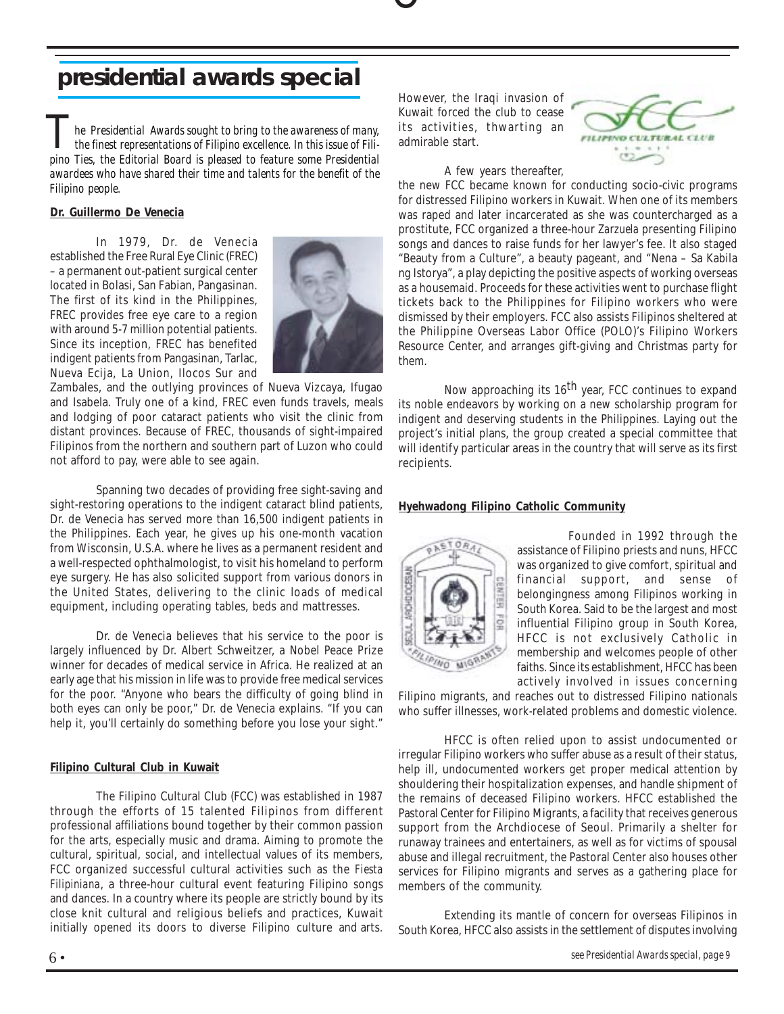# O

# **presidential awards special**

*he Presidential Awards sought to bring to the awareness of many, the finest representations of Filipino excellence. In this issue of Filipino Ties, the Editorial Board is pleased to feature some Presidential he Presidential Awards sought to bring to the awareness of many, the finest representations of Filipino excellence. In this issue of Filiawardees who have shared their time and talents for the benefit of the Filipino people.*

#### **Dr. Guillermo De Venecia**

In 1979, Dr. de Venecia established the Free Rural Eye Clinic (FREC) – a permanent out-patient surgical center located in Bolasi, San Fabian, Pangasinan. The first of its kind in the Philippines, FREC provides free eye care to a region with around 5-7 million potential patients. Since its inception, FREC has benefited indigent patients from Pangasinan, Tarlac, Nueva Ecija, La Union, Ilocos Sur and



Zambales, and the outlying provinces of Nueva Vizcaya, Ifugao and Isabela. Truly one of a kind, FREC even funds travels, meals and lodging of poor cataract patients who visit the clinic from distant provinces. Because of FREC, thousands of sight-impaired Filipinos from the northern and southern part of Luzon who could not afford to pay, were able to see again.

Spanning two decades of providing free sight-saving and sight-restoring operations to the indigent cataract blind patients, Dr. de Venecia has served more than 16,500 indigent patients in the Philippines. Each year, he gives up his one-month vacation from Wisconsin, U.S.A. where he lives as a permanent resident and a well-respected ophthalmologist, to visit his homeland to perform eye surgery. He has also solicited support from various donors in the United States, delivering to the clinic loads of medical equipment, including operating tables, beds and mattresses.

Dr. de Venecia believes that his service to the poor is largely influenced by Dr. Albert Schweitzer, a Nobel Peace Prize winner for decades of medical service in Africa. He realized at an early age that his mission in life was to provide free medical services for the poor. "Anyone who bears the difficulty of going blind in both eyes can only be poor," Dr. de Venecia explains. "If you can help it, you'll certainly do something before you lose your sight."

#### **Filipino Cultural Club in Kuwait**

The Filipino Cultural Club (FCC) was established in 1987 through the efforts of 15 talented Filipinos from different professional affiliations bound together by their common passion for the arts, especially music and drama. Aiming to promote the cultural, spiritual, social, and intellectual values of its members, FCC organized successful cultural activities such as the *Fiesta Filipiniana*, a three-hour cultural event featuring Filipino songs and dances. In a country where its people are strictly bound by its close knit cultural and religious beliefs and practices, Kuwait initially opened its doors to diverse Filipino culture and arts.

However, the Iraqi invasion of Kuwait forced the club to cease its activities, thwarting an admirable start.

A few years thereafter,



the new FCC became known for conducting socio-civic programs for distressed Filipino workers in Kuwait. When one of its members was raped and later incarcerated as she was countercharged as a prostitute, FCC organized a three-hour *Zarzuela* presenting Filipino songs and dances to raise funds for her lawyer's fee. It also staged "Beauty from a Culture", a beauty pageant, and "Nena – Sa Kabila ng Istorya", a play depicting the positive aspects of working overseas as a housemaid. Proceeds for these activities went to purchase flight tickets back to the Philippines for Filipino workers who were dismissed by their employers. FCC also assists Filipinos sheltered at the Philippine Overseas Labor Office (POLO)'s Filipino Workers Resource Center, and arranges gift-giving and Christmas party for them.

Now approaching its  $16<sup>th</sup>$  year, FCC continues to expand its noble endeavors by working on a new scholarship program for indigent and deserving students in the Philippines. Laying out the project's initial plans, the group created a special committee that will identify particular areas in the country that will serve as its first recipients.

#### **Hyehwadong Filipino Catholic Community**



 Founded in 1992 through the assistance of Filipino priests and nuns, HFCC was organized to give comfort, spiritual and financial support, and sense of belongingness among Filipinos working in South Korea. Said to be the largest and most influential Filipino group in South Korea, HFCC is not exclusively Catholic in membership and welcomes people of other faiths. Since its establishment, HFCC has been actively involved in issues concerning

Filipino migrants, and reaches out to distressed Filipino nationals who suffer illnesses, work-related problems and domestic violence.

HFCC is often relied upon to assist undocumented or irregular Filipino workers who suffer abuse as a result of their status, help ill, undocumented workers get proper medical attention by shouldering their hospitalization expenses, and handle shipment of the remains of deceased Filipino workers. HFCC established the Pastoral Center for Filipino Migrants, a facility that receives generous support from the Archdiocese of Seoul. Primarily a shelter for runaway trainees and entertainers, as well as for victims of spousal abuse and illegal recruitment, the Pastoral Center also houses other services for Filipino migrants and serves as a gathering place for members of the community.

Extending its mantle of concern for overseas Filipinos in South Korea, HFCC also assists in the settlement of disputes involving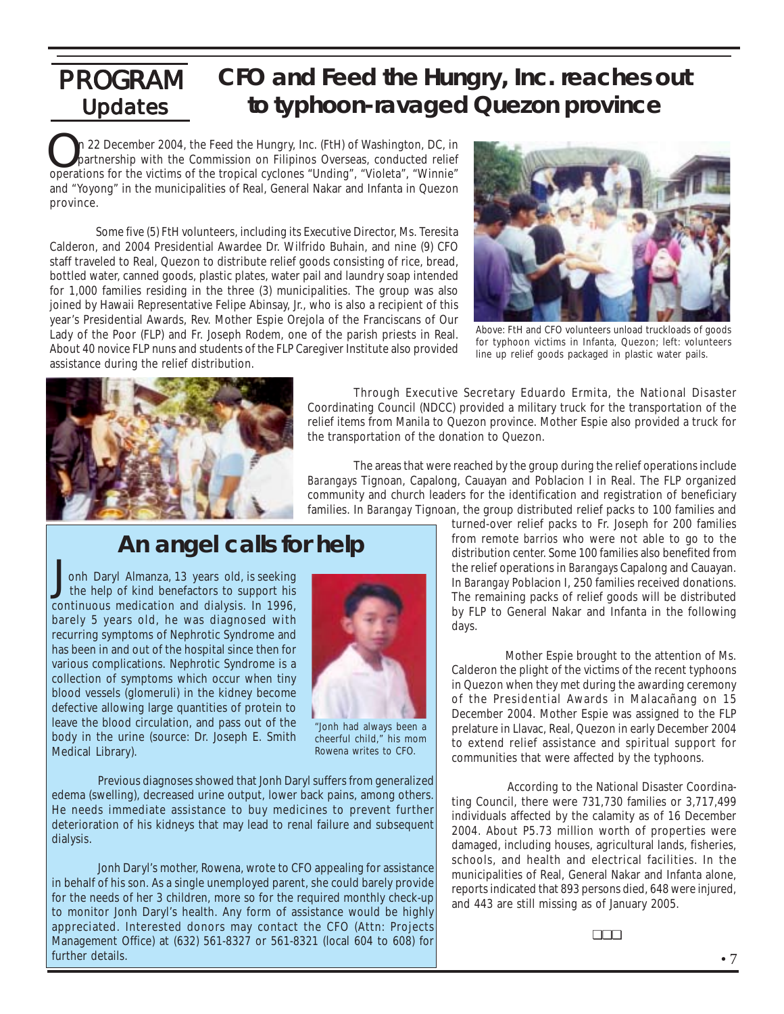### **Updates** PROGRAM **CFO and Feed the Hungry, Inc. reaches out to typhoon-ravaged Quezon province**

**On** 22 December 2004, the Feed the Hungry, Inc. (FtH) of Washington, DC, in partnership with the Commission on Filipinos Overseas, conducted relief operations for the victims of the tropical cyclones "Unding", "Violeta", n 22 December 2004, the Feed the Hungry, Inc. (FtH) of Washington, DC, in partnership with the Commission on Filipinos Overseas, conducted relief and "Yoyong" in the municipalities of Real, General Nakar and Infanta in Quezon province.

Some five (5) FtH volunteers, including its Executive Director, Ms. Teresita Calderon, and 2004 Presidential Awardee Dr. Wilfrido Buhain, and nine (9) CFO staff traveled to Real, Quezon to distribute relief goods consisting of rice, bread, bottled water, canned goods, plastic plates, water pail and laundry soap intended for 1,000 families residing in the three (3) municipalities. The group was also joined by Hawaii Representative Felipe Abinsay, Jr., who is also a recipient of this year's Presidential Awards, Rev. Mother Espie Orejola of the Franciscans of Our Lady of the Poor (FLP) and Fr. Joseph Rodem, one of the parish priests in Real. About 40 novice FLP nuns and students of the FLP Caregiver Institute also provided assistance during the relief distribution.



Above: FtH and CFO volunteers unload truckloads of goods for typhoon victims in Infanta, Quezon; left: volunteers line up relief goods packaged in plastic water pails.



Through Executive Secretary Eduardo Ermita, the National Disaster Coordinating Council (NDCC) provided a military truck for the transportation of the relief items from Manila to Quezon province. Mother Espie also provided a truck for the transportation of the donation to Quezon.

The areas that were reached by the group during the relief operations include *Barangays* Tignoan, Capalong, Cauayan and Poblacion I in Real. The FLP organized community and church leaders for the identification and registration of beneficiary families. In *Barangay* Tignoan, the group distributed relief packs to 100 families and

# **An angel calls for help**

 onh Daryl Almanza, 13 years old, is seeking the help of kind benefactors to support his continuous medication and dialysis. In 1996, barely 5 years old, he was diagnosed with recurring symptoms of Nephrotic Syndrome and has been in and out of the hospital since then for various complications. Nephrotic Syndrome is a collection of symptoms which occur when tiny blood vessels (glomeruli) in the kidney become defective allowing large quantities of protein to leave the blood circulation, and pass out of the body in the urine (source: Dr. Joseph E. Smith Medical Library). J



"Jonh had always been a cheerful child," his mom Rowena writes to CFO.

Previous diagnoses showed that Jonh Daryl suffers from generalized edema (swelling), decreased urine output, lower back pains, among others. He needs immediate assistance to buy medicines to prevent further deterioration of his kidneys that may lead to renal failure and subsequent dialysis.

Jonh Daryl's mother, Rowena, wrote to CFO appealing for assistance in behalf of his son. As a single unemployed parent, she could barely provide for the needs of her 3 children, more so for the required monthly check-up to monitor Jonh Daryl's health. Any form of assistance would be highly appreciated. Interested donors may contact the CFO (Attn: Projects Management Office) at (632) 561-8327 or 561-8321 (local 604 to 608) for further details.

turned-over relief packs to Fr. Joseph for 200 families from remote *barrios* who were not able to go to the distribution center. Some 100 families also benefited from the relief operations in *Barangays* Capalong and Cauayan. In *Barangay* Poblacion I, 250 families received donations. The remaining packs of relief goods will be distributed by FLP to General Nakar and Infanta in the following days.

 Mother Espie brought to the attention of Ms. Calderon the plight of the victims of the recent typhoons in Quezon when they met during the awarding ceremony of the Presidential Awards in Malacañang on 15 December 2004. Mother Espie was assigned to the FLP prelature in Llavac, Real, Quezon in early December 2004 to extend relief assistance and spiritual support for communities that were affected by the typhoons.

 According to the National Disaster Coordinating Council, there were 731,730 families or 3,717,499 individuals affected by the calamity as of 16 December 2004. About P5.73 million worth of properties were damaged, including houses, agricultural lands, fisheries, schools, and health and electrical facilities. In the municipalities of Real, General Nakar and Infanta alone, reports indicated that 893 persons died, 648 were injured, and 443 are still missing as of January 2005.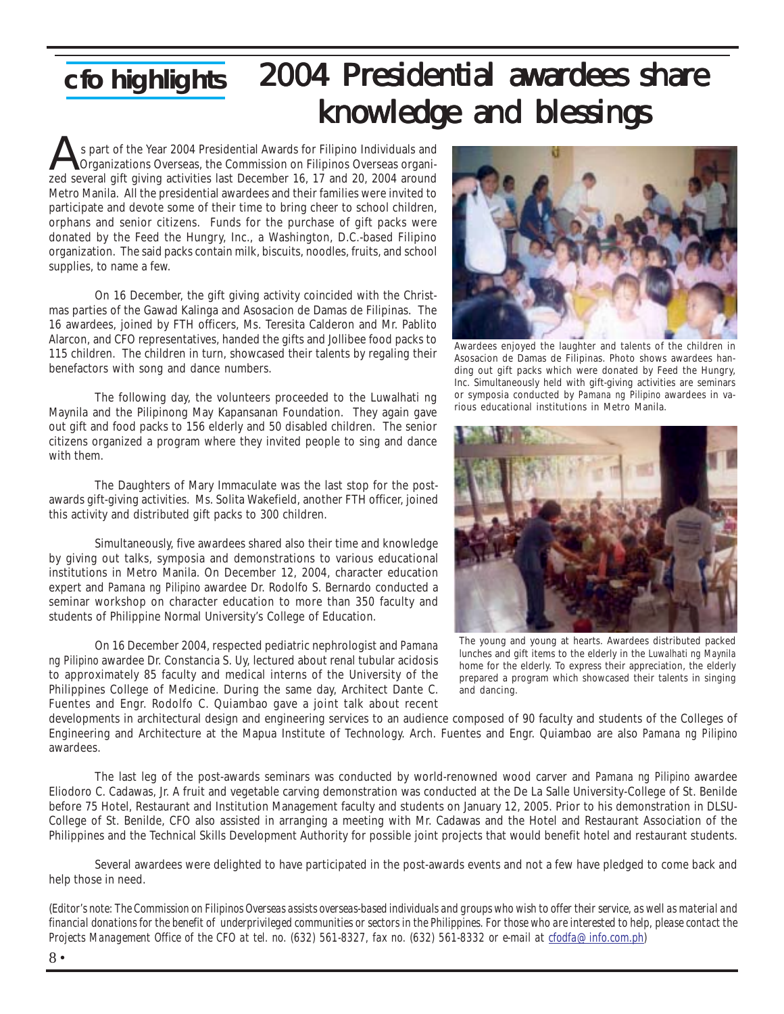## **cfo highlights** 2004 Presidential awardees share knowledge and blessings

 s part of the Year 2004 Presidential Awards for Filipino Individuals and Organizations Overseas, the Commission on Filipinos Overseas organis part of the Year 2004 Presidential Awards for Filipino Individuals and Organizations Overseas, the Commission on Filipinos Overseas organizations overseas, the Commission on Filipinos Overseas organizations around Metro Manila. All the presidential awardees and their families were invited to participate and devote some of their time to bring cheer to school children, orphans and senior citizens. Funds for the purchase of gift packs were donated by the Feed the Hungry, Inc., a Washington, D.C.-based Filipino organization. The said packs contain milk, biscuits, noodles, fruits, and school supplies, to name a few.

On 16 December, the gift giving activity coincided with the Christmas parties of the Gawad Kalinga and Asosacion de Damas de Filipinas. The 16 awardees, joined by FTH officers, Ms. Teresita Calderon and Mr. Pablito Alarcon, and CFO representatives, handed the gifts and Jollibee food packs to 115 children. The children in turn, showcased their talents by regaling their benefactors with song and dance numbers.

The following day, the volunteers proceeded to the Luwalhati ng Maynila and the Pilipinong May Kapansanan Foundation. They again gave out gift and food packs to 156 elderly and 50 disabled children. The senior citizens organized a program where they invited people to sing and dance with them.

The Daughters of Mary Immaculate was the last stop for the postawards gift-giving activities. Ms. Solita Wakefield, another FTH officer, joined this activity and distributed gift packs to 300 children.

Simultaneously, five awardees shared also their time and knowledge by giving out talks, symposia and demonstrations to various educational institutions in Metro Manila. On December 12, 2004, character education expert and *Pamana ng Pilipino* awardee Dr. Rodolfo S. Bernardo conducted a seminar workshop on character education to more than 350 faculty and students of Philippine Normal University's College of Education.

On 16 December 2004, respected pediatric nephrologist and *Pamana ng Pilipino* awardee Dr. Constancia S. Uy, lectured about renal tubular acidosis to approximately 85 faculty and medical interns of the University of the Philippines College of Medicine. During the same day, Architect Dante C. Fuentes and Engr. Rodolfo C. Quiambao gave a joint talk about recent



Awardees enjoyed the laughter and talents of the children in Asosacion de Damas de Filipinas. Photo shows awardees handing out gift packs which were donated by Feed the Hungry, Inc. Simultaneously held with gift-giving activities are seminars or symposia conducted by *Pamana ng Pilipino* awardees in various educational institutions in Metro Manila.



The young and young at hearts. Awardees distributed packed lunches and gift items to the elderly in the *Luwalhati ng Maynila* home for the elderly. To express their appreciation, the elderly prepared a program which showcased their talents in singing and dancing.

developments in architectural design and engineering services to an audience composed of 90 faculty and students of the Colleges of Engineering and Architecture at the Mapua Institute of Technology. Arch. Fuentes and Engr. Quiambao are also *Pamana ng Pilipino* awardees.

The last leg of the post-awards seminars was conducted by world-renowned wood carver and *Pamana ng Pilipino* awardee Eliodoro C. Cadawas, Jr. A fruit and vegetable carving demonstration was conducted at the De La Salle University-College of St. Benilde before 75 Hotel, Restaurant and Institution Management faculty and students on January 12, 2005. Prior to his demonstration in DLSU-College of St. Benilde, CFO also assisted in arranging a meeting with Mr. Cadawas and the Hotel and Restaurant Association of the Philippines and the Technical Skills Development Authority for possible joint projects that would benefit hotel and restaurant students.

Several awardees were delighted to have participated in the post-awards events and not a few have pledged to come back and help those in need.

(*Editor's note: The Commission on Filipinos Overseas assists overseas-based individuals and groups who wish to offer their service, as well as material and financial donations for the benefit of underprivileged communities or sectors in the Philippines. For those who are interested to help, please contact the Projects Management Office of the CFO at tel. no. (632) 561-8327, fax no. (632) 561-8332 or e-mail at cfodfa@info.com.ph)*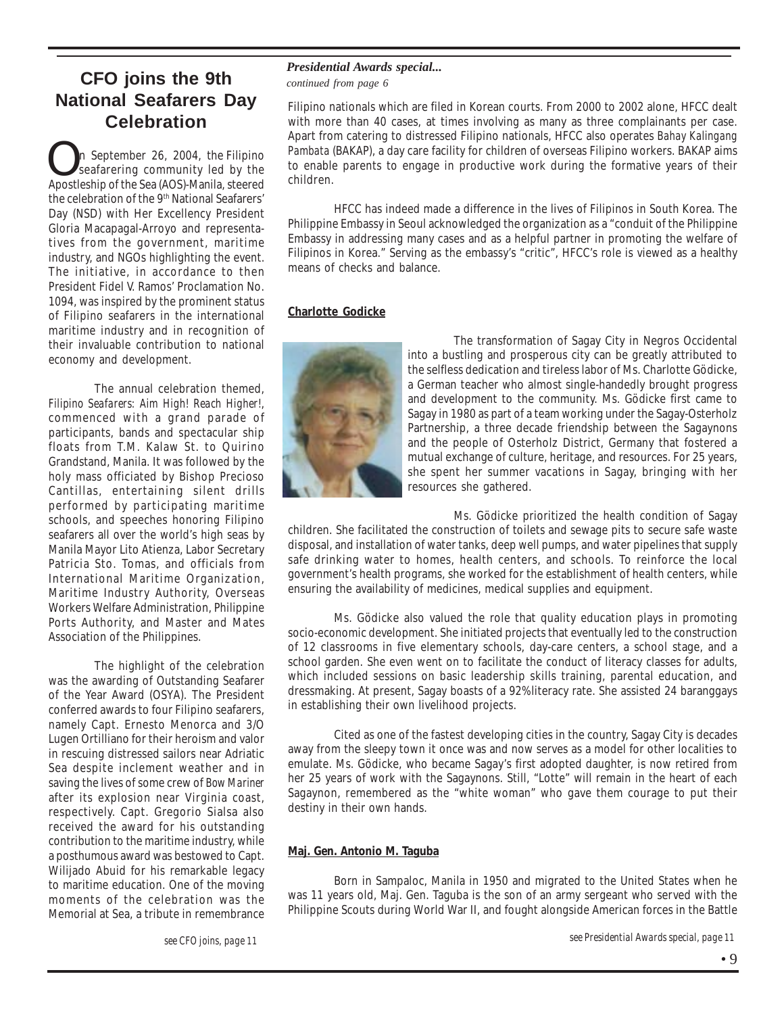## **CFO joins the 9th National Seafarers Day Celebration**

**O**n September 26, 2004, the Filipino<br>seafarering community led by the<br>Apostleship of the Sea (AOS)-Manila, steered n September 26, 2004, the Filipino seafarering community led by the the celebration of the 9<sup>th</sup> National Seafarers' Day (NSD) with Her Excellency President Gloria Macapagal-Arroyo and representatives from the government, maritime industry, and NGOs highlighting the event. The initiative, in accordance to then President Fidel V. Ramos' Proclamation No. 1094, was inspired by the prominent status of Filipino seafarers in the international maritime industry and in recognition of their invaluable contribution to national economy and development.

The annual celebration themed, *Filipino Seafarers: Aim High! Reach Higher!*, commenced with a grand parade of participants, bands and spectacular ship floats from T.M. Kalaw St. to Quirino Grandstand, Manila. It was followed by the holy mass officiated by Bishop Precioso Cantillas, entertaining silent drills performed by participating maritime schools, and speeches honoring Filipino seafarers all over the world's high seas by Manila Mayor Lito Atienza, Labor Secretary Patricia Sto. Tomas, and officials from International Maritime Organization, Maritime Industry Authority, Overseas Workers Welfare Administration, Philippine Ports Authority, and Master and Mates Association of the Philippines.

The highlight of the celebration was the awarding of Outstanding Seafarer of the Year Award (OSYA). The President conferred awards to four Filipino seafarers, namely Capt. Ernesto Menorca and 3/O Lugen Ortilliano for their heroism and valor in rescuing distressed sailors near Adriatic Sea despite inclement weather and in saving the lives of some crew of *Bow Mariner* after its explosion near Virginia coast, respectively. Capt. Gregorio Sialsa also received the award for his outstanding contribution to the maritime industry, while a posthumous award was bestowed to Capt. Wilijado Abuid for his remarkable legacy to maritime education. One of the moving moments of the celebration was the Memorial at Sea, a tribute in remembrance

#### *Presidential Awards special...*

*continued from page 6*

Filipino nationals which are filed in Korean courts. From 2000 to 2002 alone, HFCC dealt with more than 40 cases, at times involving as many as three complainants per case. Apart from catering to distressed Filipino nationals, HFCC also operates *Bahay Kalingang Pambata* (BAKAP), a day care facility for children of overseas Filipino workers. BAKAP aims to enable parents to engage in productive work during the formative years of their children.

HFCC has indeed made a difference in the lives of Filipinos in South Korea. The Philippine Embassy in Seoul acknowledged the organization as a "conduit of the Philippine Embassy in addressing many cases and as a helpful partner in promoting the welfare of Filipinos in Korea." Serving as the embassy's "critic", HFCC's role is viewed as a healthy means of checks and balance.

#### **Charlotte Godicke**



The transformation of Sagay City in Negros Occidental into a bustling and prosperous city can be greatly attributed to the selfless dedication and tireless labor of Ms. Charlotte Gödicke, a German teacher who almost single-handedly brought progress and development to the community. Ms. Gödicke first came to Sagay in 1980 as part of a team working under the Sagay-Osterholz Partnership, a three decade friendship between the Sagaynons and the people of Osterholz District, Germany that fostered a mutual exchange of culture, heritage, and resources. For 25 years, she spent her summer vacations in Sagay, bringing with her resources she gathered.

Ms. Gödicke prioritized the health condition of Sagay children. She facilitated the construction of toilets and sewage pits to secure safe waste disposal, and installation of water tanks, deep well pumps, and water pipelines that supply safe drinking water to homes, health centers, and schools. To reinforce the local government's health programs, she worked for the establishment of health centers, while ensuring the availability of medicines, medical supplies and equipment.

Ms. Gödicke also valued the role that quality education plays in promoting socio-economic development. She initiated projects that eventually led to the construction of 12 classrooms in five elementary schools, day-care centers, a school stage, and a school garden. She even went on to facilitate the conduct of literacy classes for adults, which included sessions on basic leadership skills training, parental education, and dressmaking. At present, Sagay boasts of a 92% literacy rate. She assisted 24 baranggays in establishing their own livelihood projects.

Cited as one of the fastest developing cities in the country, Sagay City is decades away from the sleepy town it once was and now serves as a model for other localities to emulate. Ms. Gödicke, who became Sagay's first adopted daughter, is now retired from her 25 years of work with the Sagaynons. Still, "Lotte" will remain in the heart of each Sagaynon, remembered as the "white woman" who gave them courage to put their destiny in their own hands.

#### **Maj. Gen. Antonio M. Taguba**

Born in Sampaloc, Manila in 1950 and migrated to the United States when he was 11 years old, Maj. Gen. Taguba is the son of an army sergeant who served with the Philippine Scouts during World War II, and fought alongside American forces in the Battle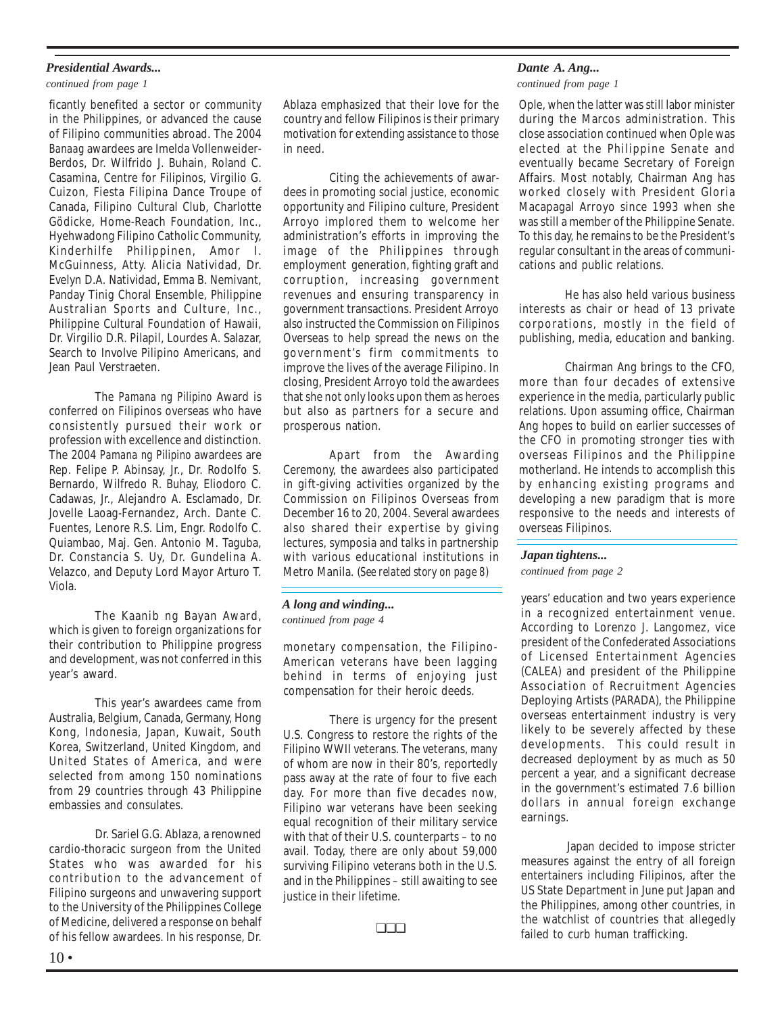#### *Presidential Awards...*

#### *continued from page 1*

ficantly benefited a sector or community in the Philippines, or advanced the cause of Filipino communities abroad. The 2004 *Banaag* awardees are Imelda Vollenweider-Berdos, Dr. Wilfrido J. Buhain, Roland C. Casamina, Centre for Filipinos, Virgilio G. Cuizon, Fiesta Filipina Dance Troupe of Canada, Filipino Cultural Club, Charlotte Gödicke, Home-Reach Foundation, Inc., Hyehwadong Filipino Catholic Community, Kinderhilfe Philippinen, Amor I. McGuinness, Atty. Alicia Natividad, Dr. Evelyn D.A. Natividad, Emma B. Nemivant, Panday Tinig Choral Ensemble, Philippine Australian Sports and Culture, Inc., Philippine Cultural Foundation of Hawaii, Dr. Virgilio D.R. Pilapil, Lourdes A. Salazar, Search to Involve Pilipino Americans, and Jean Paul Verstraeten.

The *Pamana ng Pilipino* Award is conferred on Filipinos overseas who have consistently pursued their work or profession with excellence and distinction. The 2004 *Pamana ng Pilipino* awardees are Rep. Felipe P. Abinsay, Jr., Dr. Rodolfo S. Bernardo, Wilfredo R. Buhay, Eliodoro C. Cadawas, Jr., Alejandro A. Esclamado, Dr. Jovelle Laoag-Fernandez, Arch. Dante C. Fuentes, Lenore R.S. Lim, Engr. Rodolfo C. Quiambao, Maj. Gen. Antonio M. Taguba, Dr. Constancia S. Uy, Dr. Gundelina A. Velazco, and Deputy Lord Mayor Arturo T. Viola.

The Kaanib ng Bayan Award, which is given to foreign organizations for their contribution to Philippine progress and development, was not conferred in this year's award.

This year's awardees came from Australia, Belgium, Canada, Germany, Hong Kong, Indonesia, Japan, Kuwait, South Korea, Switzerland, United Kingdom, and United States of America, and were selected from among 150 nominations from 29 countries through 43 Philippine embassies and consulates.

Dr. Sariel G.G. Ablaza, a renowned cardio-thoracic surgeon from the United States who was awarded for his contribution to the advancement of Filipino surgeons and unwavering support to the University of the Philippines College of Medicine, delivered a response on behalf of his fellow awardees. In his response, Dr. Ablaza emphasized that their love for the country and fellow Filipinos is their primary motivation for extending assistance to those in need.

Citing the achievements of awardees in promoting social justice, economic opportunity and Filipino culture, President Arroyo implored them to welcome her administration's efforts in improving the image of the Philippines through employment generation, fighting graft and corruption, increasing government revenues and ensuring transparency in government transactions. President Arroyo also instructed the Commission on Filipinos Overseas to help spread the news on the government's firm commitments to improve the lives of the average Filipino. In closing, President Arroyo told the awardees that she not only looks upon them as heroes but also as partners for a secure and prosperous nation.

Apart from the Awarding Ceremony, the awardees also participated in gift-giving activities organized by the Commission on Filipinos Overseas from December 16 to 20, 2004. Several awardees also shared their expertise by giving lectures, symposia and talks in partnership with various educational institutions in Metro Manila. (*See related story on page 8)*

#### *A long and winding... continued from page 4*

monetary compensation, the Filipino-American veterans have been lagging behind in terms of enjoying just compensation for their heroic deeds.

There is urgency for the present U.S. Congress to restore the rights of the Filipino WWII veterans. The veterans, many of whom are now in their 80's, reportedly pass away at the rate of four to five each day. For more than five decades now, Filipino war veterans have been seeking equal recognition of their military service with that of their U.S. counterparts – to no avail. Today, there are only about 59,000 surviving Filipino veterans both in the U.S. and in the Philippines – still awaiting to see justice in their lifetime.

❏❏❏

#### *Dante A. Ang...*

*continued from page 1*

Ople, when the latter was still labor minister during the Marcos administration. This close association continued when Ople was elected at the Philippine Senate and eventually became Secretary of Foreign Affairs. Most notably, Chairman Ang has worked closely with President Gloria Macapagal Arroyo since 1993 when she was still a member of the Philippine Senate. To this day, he remains to be the President's regular consultant in the areas of communications and public relations.

He has also held various business interests as chair or head of 13 private corporations, mostly in the field of publishing, media, education and banking.

Chairman Ang brings to the CFO, more than four decades of extensive experience in the media, particularly public relations. Upon assuming office, Chairman Ang hopes to build on earlier successes of the CFO in promoting stronger ties with overseas Filipinos and the Philippine motherland. He intends to accomplish this by enhancing existing programs and developing a new paradigm that is more responsive to the needs and interests of overseas Filipinos.

#### *Japan tightens...*

*continued from page 2*

years' education and two years experience in a recognized entertainment venue. According to Lorenzo J. Langomez, vice president of the Confederated Associations of Licensed Entertainment Agencies (CALEA) and president of the Philippine Association of Recruitment Agencies Deploying Artists (PARADA), the Philippine overseas entertainment industry is very likely to be severely affected by these developments. This could result in decreased deployment by as much as 50 percent a year, and a significant decrease in the government's estimated 7.6 billion dollars in annual foreign exchange earnings.

Japan decided to impose stricter measures against the entry of all foreign entertainers including Filipinos, after the US State Department in June put Japan and the Philippines, among other countries, in the watchlist of countries that allegedly failed to curb human trafficking.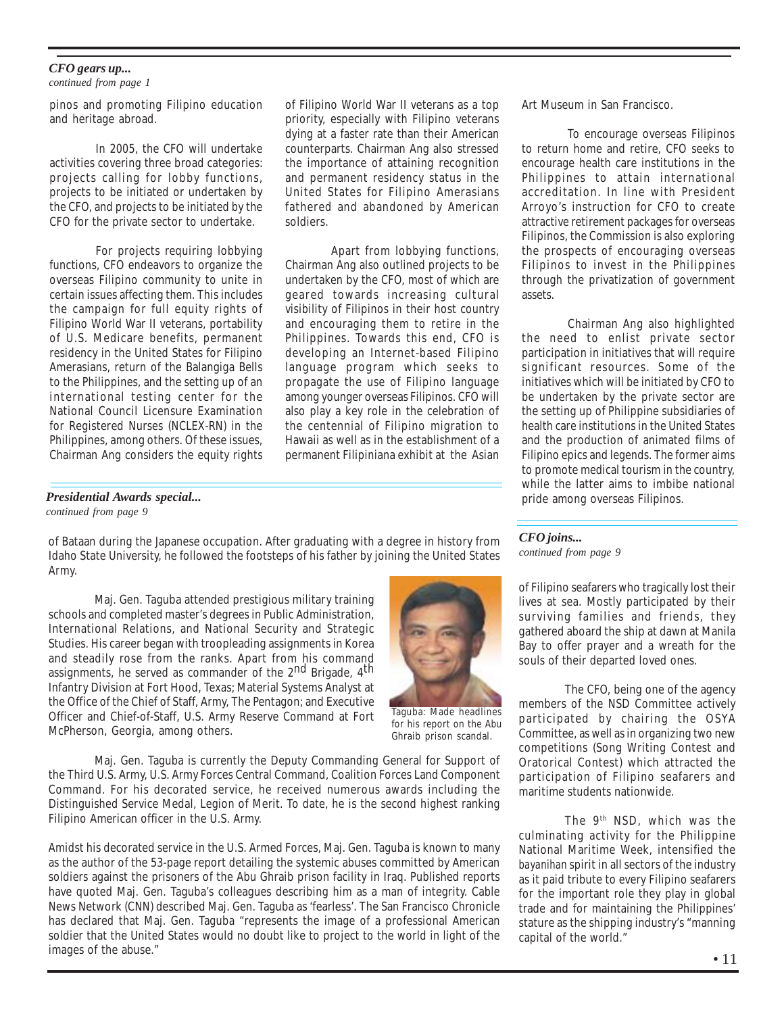#### *CFO gears up...*

*continued from page 1*

pinos and promoting Filipino education and heritage abroad.

In 2005, the CFO will undertake activities covering three broad categories: projects calling for lobby functions, projects to be initiated or undertaken by the CFO, and projects to be initiated by the CFO for the private sector to undertake.

For projects requiring lobbying functions, CFO endeavors to organize the overseas Filipino community to unite in certain issues affecting them. This includes the campaign for full equity rights of Filipino World War II veterans, portability of U.S. Medicare benefits, permanent residency in the United States for Filipino Amerasians, return of the Balangiga Bells to the Philippines, and the setting up of an international testing center for the National Council Licensure Examination for Registered Nurses (NCLEX-RN) in the Philippines, among others. Of these issues, Chairman Ang considers the equity rights of Filipino World War II veterans as a top priority, especially with Filipino veterans dying at a faster rate than their American counterparts. Chairman Ang also stressed the importance of attaining recognition and permanent residency status in the United States for Filipino Amerasians fathered and abandoned by American soldiers.

Apart from lobbying functions, Chairman Ang also outlined projects to be undertaken by the CFO, most of which are geared towards increasing cultural visibility of Filipinos in their host country and encouraging them to retire in the Philippines. Towards this end, CFO is developing an Internet-based Filipino language program which seeks to propagate the use of Filipino language among younger overseas Filipinos. CFO will also play a key role in the celebration of the centennial of Filipino migration to Hawaii as well as in the establishment of a permanent Filipiniana exhibit at the Asian

#### *Presidential Awards special... continued from page 9*

of Bataan during the Japanese occupation. After graduating with a degree in history from Idaho State University, he followed the footsteps of his father by joining the United States Army.

Maj. Gen. Taguba attended prestigious military training schools and completed master's degrees in Public Administration, International Relations, and National Security and Strategic Studies. His career began with troopleading assignments in Korea and steadily rose from the ranks. Apart from his command assignments, he served as commander of the 2<sup>nd</sup> Brigade, 4<sup>th</sup> Infantry Division at Fort Hood, Texas; Material Systems Analyst at the Office of the Chief of Staff, Army, The Pentagon; and Executive Officer and Chief-of-Staff, U.S. Army Reserve Command at Fort McPherson, Georgia, among others.

Maj. Gen. Taguba is currently the Deputy Commanding General for Support of the Third U.S. Army, U.S. Army Forces Central Command, Coalition Forces Land Component Command. For his decorated service, he received numerous awards including the Distinguished Service Medal, Legion of Merit. To date, he is the second highest ranking Filipino American officer in the U.S. Army.

Amidst his decorated service in the U.S. Armed Forces, Maj. Gen. Taguba is known to many as the author of the 53-page report detailing the systemic abuses committed by American soldiers against the prisoners of the Abu Ghraib prison facility in Iraq. Published reports have quoted Maj. Gen. Taguba's colleagues describing him as a man of integrity. Cable News Network (CNN) described Maj. Gen. Taguba as 'fearless'. The San Francisco Chronicle has declared that Maj. Gen. Taguba "represents the image of a professional American soldier that the United States would no doubt like to project to the world in light of the images of the abuse."

Taguba: Made headlines for his report on the Abu Ghraib prison scandal.

Art Museum in San Francisco.

To encourage overseas Filipinos to return home and retire, CFO seeks to encourage health care institutions in the Philippines to attain international accreditation. In line with President Arroyo's instruction for CFO to create attractive retirement packages for overseas Filipinos, the Commission is also exploring the prospects of encouraging overseas Filipinos to invest in the Philippines through the privatization of government assets.

Chairman Ang also highlighted the need to enlist private sector participation in initiatives that will require significant resources. Some of the initiatives which will be initiated by CFO to be undertaken by the private sector are the setting up of Philippine subsidiaries of health care institutions in the United States and the production of animated films of Filipino epics and legends. The former aims to promote medical tourism in the country, while the latter aims to imbibe national pride among overseas Filipinos.

*CFO joins... continued from page 9*

of Filipino seafarers who tragically lost their lives at sea. Mostly participated by their surviving families and friends, they gathered aboard the ship at dawn at Manila Bay to offer prayer and a wreath for the souls of their departed loved ones.

The CFO, being one of the agency members of the NSD Committee actively participated by chairing the OSYA Committee, as well as in organizing two new competitions (Song Writing Contest and Oratorical Contest) which attracted the participation of Filipino seafarers and maritime students nationwide.

The 9th NSD, which was the culminating activity for the Philippine National Maritime Week, intensified the *bayanihan* spirit in all sectors of the industry as it paid tribute to every Filipino seafarers for the important role they play in global trade and for maintaining the Philippines' stature as the shipping industry's "manning capital of the world."